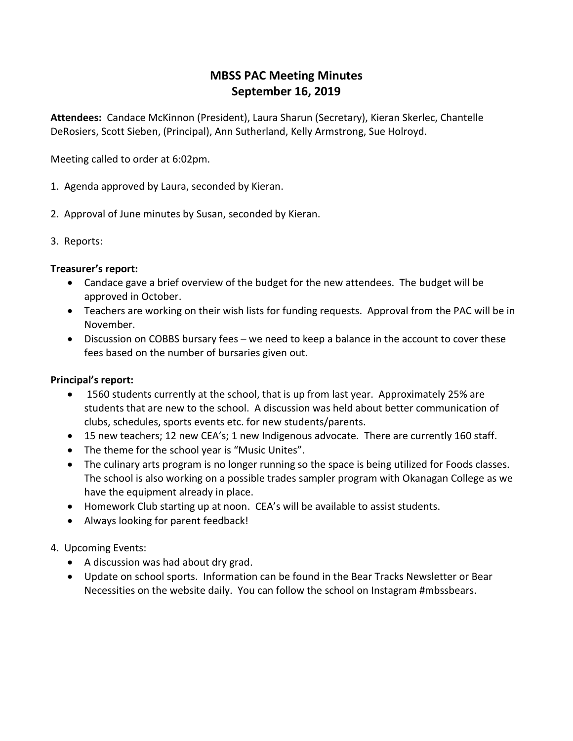## **MBSS PAC Meeting Minutes September 16, 2019**

**Attendees:** Candace McKinnon (President), Laura Sharun (Secretary), Kieran Skerlec, Chantelle DeRosiers, Scott Sieben, (Principal), Ann Sutherland, Kelly Armstrong, Sue Holroyd.

Meeting called to order at 6:02pm.

- 1. Agenda approved by Laura, seconded by Kieran.
- 2. Approval of June minutes by Susan, seconded by Kieran.
- 3. Reports:

## **Treasurer's report:**

- Candace gave a brief overview of the budget for the new attendees. The budget will be approved in October.
- Teachers are working on their wish lists for funding requests. Approval from the PAC will be in November.
- Discussion on COBBS bursary fees we need to keep a balance in the account to cover these fees based on the number of bursaries given out.

## **Principal's report:**

- 1560 students currently at the school, that is up from last year. Approximately 25% are students that are new to the school. A discussion was held about better communication of clubs, schedules, sports events etc. for new students/parents.
- 15 new teachers; 12 new CEA's; 1 new Indigenous advocate. There are currently 160 staff.
- The theme for the school year is "Music Unites".
- The culinary arts program is no longer running so the space is being utilized for Foods classes. The school is also working on a possible trades sampler program with Okanagan College as we have the equipment already in place.
- Homework Club starting up at noon. CEA's will be available to assist students.
- Always looking for parent feedback!
- 4. Upcoming Events:
	- A discussion was had about dry grad.
	- Update on school sports. Information can be found in the Bear Tracks Newsletter or Bear Necessities on the website daily. You can follow the school on Instagram #mbssbears.